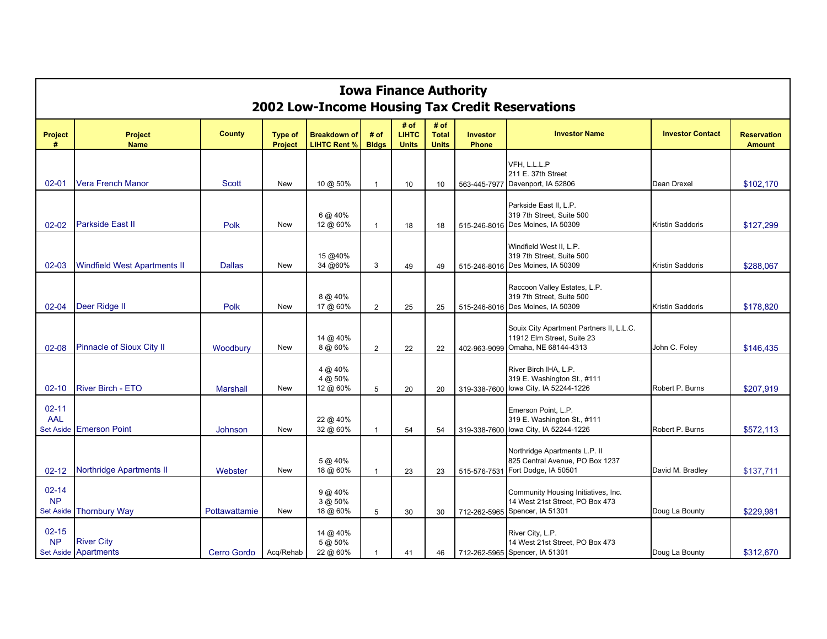| <b>Iowa Finance Authority</b><br>2002 Low-Income Housing Tax Credit Reservations |                                           |                 |                                  |                                            |                      |                                      |                                      |                          |                                                                                                |                         |                                     |
|----------------------------------------------------------------------------------|-------------------------------------------|-----------------|----------------------------------|--------------------------------------------|----------------------|--------------------------------------|--------------------------------------|--------------------------|------------------------------------------------------------------------------------------------|-------------------------|-------------------------------------|
| <b>Project</b><br>#                                                              | <b>Project</b><br><b>Name</b>             | <b>County</b>   | <b>Type of</b><br><b>Project</b> | <b>Breakdown of</b><br><b>LIHTC Rent %</b> | # of<br><b>Bldgs</b> | # of<br><b>LIHTC</b><br><b>Units</b> | # of<br><b>Total</b><br><b>Units</b> | Investor<br><b>Phone</b> | <b>Investor Name</b>                                                                           | <b>Investor Contact</b> | <b>Reservation</b><br><b>Amount</b> |
| $02 - 01$                                                                        | <b>Vera French Manor</b>                  | <b>Scott</b>    | New                              | 10 @ 50%                                   | $\mathbf{1}$         | 10                                   | 10                                   | 563-445-7977             | VFH. L.L.L.P<br>211 E. 37th Street<br>Davenport, IA 52806                                      | Dean Drexel             | \$102,170                           |
| $02 - 02$                                                                        | <b>Parkside East II</b>                   | Polk            | <b>New</b>                       | 6 @ 40%<br>12 @ 60%                        | $\overline{1}$       | 18                                   | 18                                   |                          | Parkside East II, L.P.<br>319 7th Street, Suite 500<br>515-246-8016 Des Moines, IA 50309       | Kristin Saddoris        | \$127,299                           |
| $02 - 03$                                                                        | <b>Windfield West Apartments II</b>       | <b>Dallas</b>   | <b>New</b>                       | 15 @40%<br>34 @60%                         | 3                    | 49                                   | 49                                   |                          | Windfield West II, L.P.<br>319 7th Street, Suite 500<br>515-246-8016 Des Moines, IA 50309      | Kristin Saddoris        | \$288,067                           |
| $02 - 04$                                                                        | Deer Ridge II                             | Polk            | <b>New</b>                       | 8 @ 40%<br>17 @ 60%                        | $\overline{2}$       | 25                                   | 25                                   |                          | Raccoon Valley Estates, L.P.<br>319 7th Street, Suite 500<br>515-246-8016 Des Moines, IA 50309 | Kristin Saddoris        | \$178,820                           |
| $02 - 08$                                                                        | Pinnacle of Sioux City II                 | Woodbury        | <b>New</b>                       | 14 @ 40%<br>8 @ 60%                        | 2                    | 22                                   | 22                                   | 402-963-9099             | Souix City Apartment Partners II, L.L.C.<br>11912 Elm Street, Suite 23<br>Omaha, NE 68144-4313 | John C. Foley           | \$146,435                           |
| $02 - 10$                                                                        | River Birch - ETO                         | <b>Marshall</b> | New                              | 4 @ 40%<br>4 @ 50%<br>12 @ 60%             | 5                    | 20                                   | 20                                   | 319-338-7600             | River Birch IHA, L.P.<br>319 E. Washington St., #111<br>lowa City, IA 52244-1226               | Robert P. Burns         | \$207,919                           |
| $02 - 11$<br><b>AAL</b>                                                          | Set Aside Emerson Point                   | Johnson         | New                              | 22 @ 40%<br>32 @ 60%                       | 1                    | 54                                   | 54                                   | 319-338-7600             | Emerson Point, L.P.<br>319 E. Washington St., #111<br>Iowa City, IA 52244-1226                 | Robert P. Burns         | \$572,113                           |
| $02 - 12$                                                                        | <b>Northridge Apartments II</b>           | Webster         | New                              | 5 @ 40%<br>18 @ 60%                        | $\overline{1}$       | 23                                   | 23                                   | 515-576-7531             | Northridge Apartments L.P. II<br>825 Central Avenue, PO Box 1237<br>Fort Dodge, IA 50501       | David M. Bradley        | \$137,711                           |
| $02 - 14$<br><b>NP</b>                                                           | Set Aside Thornbury Way                   | Pottawattamie   | New                              | $9 @ 40\%$<br>3 @ 50%<br>18 @ 60%          | 5                    | 30                                   | 30                                   | 712-262-5965             | Community Housing Initiatives, Inc.<br>14 West 21st Street, PO Box 473<br>Spencer, IA 51301    | Doug La Bounty          | \$229,981                           |
| $02 - 15$<br><b>NP</b>                                                           | <b>River City</b><br>Set Aside Apartments | Cerro Gordo     | Acq/Rehab                        | 14 @ 40%<br>5 @ 50%<br>22 @ 60%            | $\mathbf 1$          | 41                                   | 46                                   |                          | River City, L.P.<br>14 West 21st Street, PO Box 473<br>712-262-5965 Spencer, IA 51301          | Doug La Bounty          | \$312,670                           |